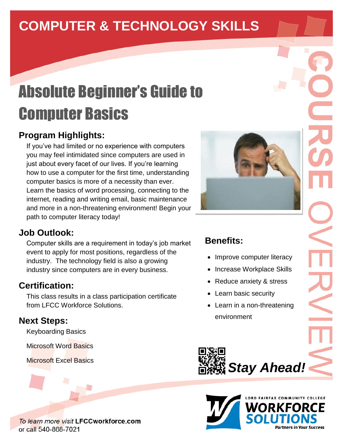# **COMPUTER & TECHNOLOGY SKILLS**

# Absolute Beginner's Guide to Computer Basics

### **Program Highlights:**

If you've had limited or no experience with computers you may feel intimidated since computers are used in just about every facet of our lives. If you're learning how to use a computer for the first time, understanding computer basics is more of a necessity than ever. Learn the basics of word processing, connecting to the internet, reading and writing email, basic maintenance and more in a non-threatening environment! Begin your path to computer literacy today!

#### **Job Outlook:**

Computer skills are a requirement in today's job market event to apply for most positions, regardless of the industry. The technology field is also a growing industry since computers are in every business.

#### **Certification:**

This class results in a class participation certificate from LFCC Workforce Solutions.

#### **Next Steps:**

Keyboarding Basics

Microsoft Word Basics

Microsoft Excel Basics







# **Benefits:**

- Improve computer literacy
- Increase Workplace Skills
- Reduce anxiety & stress
- Learn basic security
- Learn in a non-threatening environment